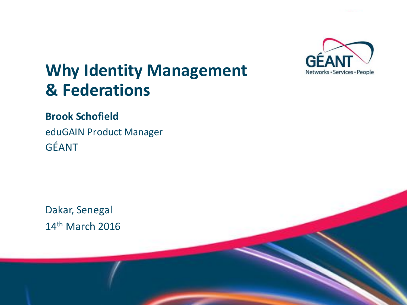

# **Why Identity Management & Federations**

#### **Brook Schofield**

eduGAIN Product Manager GÉANT 

Dakar, Senegal 14<sup>th</sup> March 2016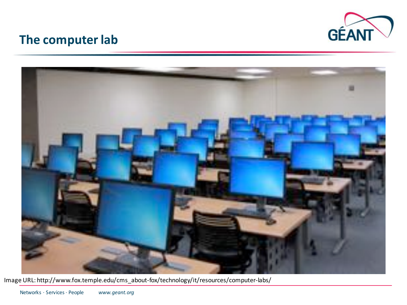

#### **The computer lab**



Image URL: http://www.fox.temple.edu/cms\_about-fox/technology/it/resources/computer-labs/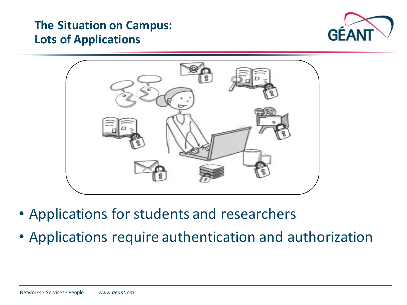#### **The Situation on Campus: Lots of Applications**





- Applications for students and researchers
- Applications require authentication and authorization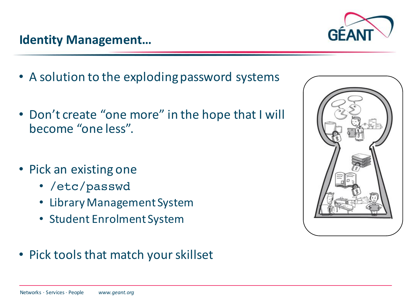- A solution to the exploding password systems
- Don't create "one more" in the hope that I will become "one less".
- Pick an existing one
	- /etc/passwd
	- Library Management System
	- Student Enrolment System
- Pick tools that match your skillset



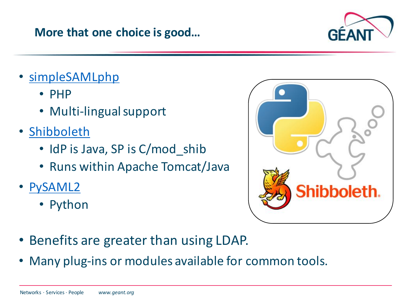#### **More that one choice is good...**

- simpleSAMLphp
	- PHP
	- Multi-lingual support
- Shibboleth
	- IdP is Java, SP is C/mod shib
	- Runs within Apache Tomcat/Java
- PySAML2
	- Python
- Benefits are greater than using LDAP.
- Many plug-ins or modules available for common tools.



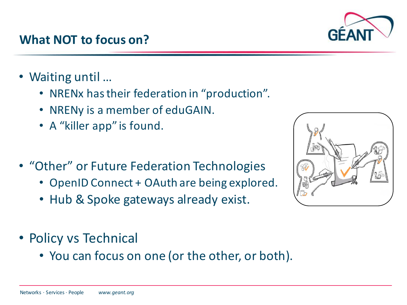### **What NOT to focus on?**

- Waiting until ...
	- NRENx has their federation in "production".
	- NRENy is a member of eduGAIN.
	- A "killer app" is found.
- "Other" or Future Federation Technologies
	- OpenID Connect + OAuth are being explored.
	- Hub & Spoke gateways already exist.
- Policy vs Technical
	- You can focus on one (or the other, or both).